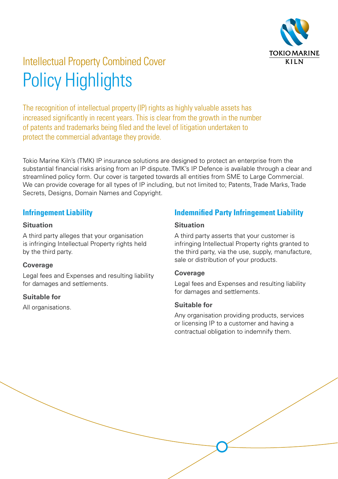

# Intellectual Property Combined Cover Policy Highlights

The recognition of intellectual property (IP) rights as highly valuable assets has increased significantly in recent years. This is clear from the growth in the number of patents and trademarks being filed and the level of litigation undertaken to protect the commercial advantage they provide.

Tokio Marine Kiln's (TMK) IP insurance solutions are designed to protect an enterprise from the substantial financial risks arising from an IP dispute. TMK's IP Defence is available through a clear and streamlined policy form. Our cover is targeted towards all entities from SME to Large Commercial. We can provide coverage for all types of IP including, but not limited to: Patents, Trade Marks, Trade Secrets, Designs, Domain Names and Copyright.

### **Infringement Liability**

#### **Situation**

A third party alleges that your organisation is infringing Intellectual Property rights held by the third party.

#### **Coverage**

Legal fees and Expenses and resulting liability for damages and settlements.

#### **Suitable for**

All organisations.

# **Indemnified Party Infringement Liability**

#### **Situation**

A third party asserts that your customer is infringing Intellectual Property rights granted to the third party, via the use, supply, manufacture, sale or distribution of your products.

#### **Coverage**

Legal fees and Expenses and resulting liability for damages and settlements.

#### **Suitable for**

Any organisation providing products, services or licensing IP to a customer and having a contractual obligation to indemnify them.